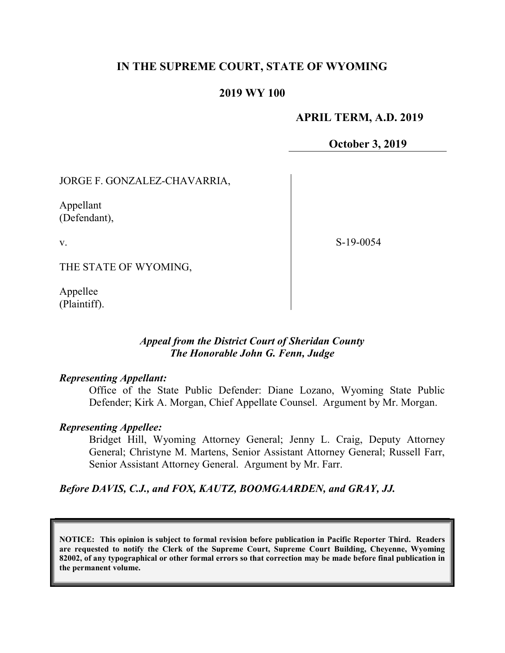## IN THE SUPREME COURT, STATE OF WYOMING

### 2019 WY 100

### APRIL TERM, A.D. 2019

October 3, 2019

JORGE F. GONZALEZ-CHAVARRIA,

Appellant (Defendant),

v.

S-19-0054

THE STATE OF WYOMING,

Appellee (Plaintiff).

## Appeal from the District Court of Sheridan County The Honorable John G. Fenn, Judge

### Representing Appellant:

Office of the State Public Defender: Diane Lozano, Wyoming State Public Defender; Kirk A. Morgan, Chief Appellate Counsel. Argument by Mr. Morgan.

#### Representing Appellee:

Bridget Hill, Wyoming Attorney General; Jenny L. Craig, Deputy Attorney General; Christyne M. Martens, Senior Assistant Attorney General; Russell Farr, Senior Assistant Attorney General. Argument by Mr. Farr.

Before DAVIS, C.J., and FOX, KAUTZ, BOOMGAARDEN, and GRAY, JJ.

NOTICE: This opinion is subject to formal revision before publication in Pacific Reporter Third. Readers are requested to notify the Clerk of the Supreme Court, Supreme Court Building, Cheyenne, Wyoming 82002, of any typographical or other formal errors so that correction may be made before final publication in the permanent volume.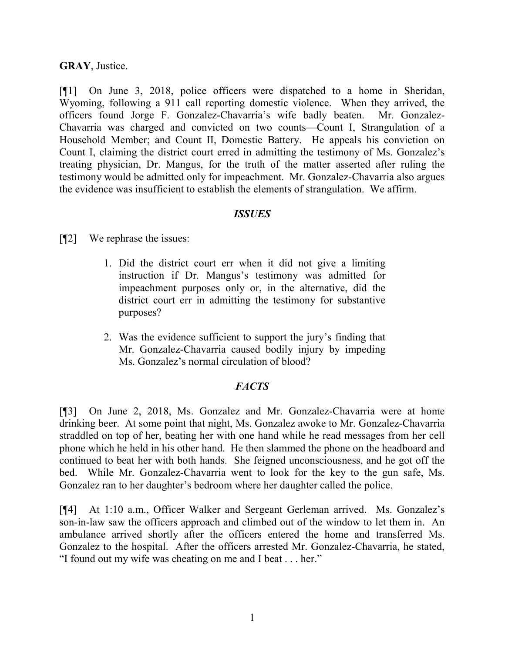#### GRAY, Justice.

[¶1] On June 3, 2018, police officers were dispatched to a home in Sheridan, Wyoming, following a 911 call reporting domestic violence. When they arrived, the officers found Jorge F. Gonzalez-Chavarria's wife badly beaten. Mr. Gonzalez-Chavarria was charged and convicted on two counts—Count I, Strangulation of a Household Member; and Count II, Domestic Battery. He appeals his conviction on Count I, claiming the district court erred in admitting the testimony of Ms. Gonzalez's treating physician, Dr. Mangus, for the truth of the matter asserted after ruling the testimony would be admitted only for impeachment. Mr. Gonzalez-Chavarria also argues the evidence was insufficient to establish the elements of strangulation. We affirm.

### ISSUES

[¶2] We rephrase the issues:

- 1. Did the district court err when it did not give a limiting instruction if Dr. Mangus's testimony was admitted for impeachment purposes only or, in the alternative, did the district court err in admitting the testimony for substantive purposes?
- 2. Was the evidence sufficient to support the jury's finding that Mr. Gonzalez-Chavarria caused bodily injury by impeding Ms. Gonzalez's normal circulation of blood?

## **FACTS**

[¶3] On June 2, 2018, Ms. Gonzalez and Mr. Gonzalez-Chavarria were at home drinking beer. At some point that night, Ms. Gonzalez awoke to Mr. Gonzalez-Chavarria straddled on top of her, beating her with one hand while he read messages from her cell phone which he held in his other hand. He then slammed the phone on the headboard and continued to beat her with both hands. She feigned unconsciousness, and he got off the bed. While Mr. Gonzalez-Chavarria went to look for the key to the gun safe, Ms. Gonzalez ran to her daughter's bedroom where her daughter called the police.

[¶4] At 1:10 a.m., Officer Walker and Sergeant Gerleman arrived. Ms. Gonzalez's son-in-law saw the officers approach and climbed out of the window to let them in. An ambulance arrived shortly after the officers entered the home and transferred Ms. Gonzalez to the hospital. After the officers arrested Mr. Gonzalez-Chavarria, he stated, "I found out my wife was cheating on me and I beat . . . her."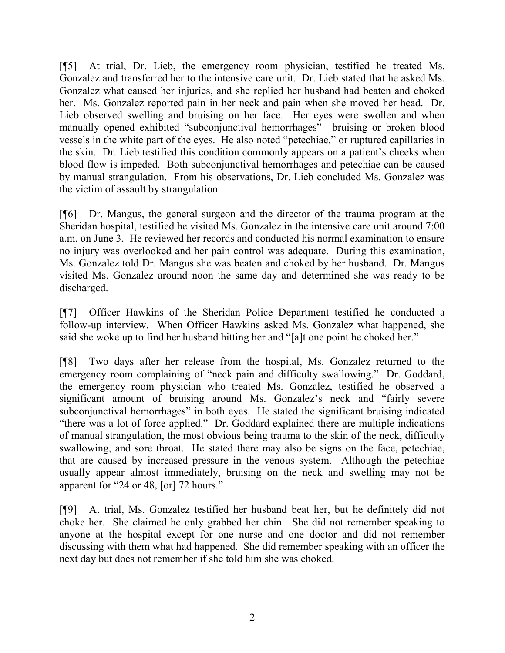[¶5] At trial, Dr. Lieb, the emergency room physician, testified he treated Ms. Gonzalez and transferred her to the intensive care unit. Dr. Lieb stated that he asked Ms. Gonzalez what caused her injuries, and she replied her husband had beaten and choked her. Ms. Gonzalez reported pain in her neck and pain when she moved her head. Dr. Lieb observed swelling and bruising on her face. Her eyes were swollen and when manually opened exhibited "subconjunctival hemorrhages"—bruising or broken blood vessels in the white part of the eyes. He also noted "petechiae," or ruptured capillaries in the skin. Dr. Lieb testified this condition commonly appears on a patient's cheeks when blood flow is impeded. Both subconjunctival hemorrhages and petechiae can be caused by manual strangulation. From his observations, Dr. Lieb concluded Ms. Gonzalez was the victim of assault by strangulation.

[¶6] Dr. Mangus, the general surgeon and the director of the trauma program at the Sheridan hospital, testified he visited Ms. Gonzalez in the intensive care unit around 7:00 a.m. on June 3. He reviewed her records and conducted his normal examination to ensure no injury was overlooked and her pain control was adequate. During this examination, Ms. Gonzalez told Dr. Mangus she was beaten and choked by her husband. Dr. Mangus visited Ms. Gonzalez around noon the same day and determined she was ready to be discharged.

[¶7] Officer Hawkins of the Sheridan Police Department testified he conducted a follow-up interview. When Officer Hawkins asked Ms. Gonzalez what happened, she said she woke up to find her husband hitting her and "[a]t one point he choked her."

[¶8] Two days after her release from the hospital, Ms. Gonzalez returned to the emergency room complaining of "neck pain and difficulty swallowing." Dr. Goddard, the emergency room physician who treated Ms. Gonzalez, testified he observed a significant amount of bruising around Ms. Gonzalez's neck and "fairly severe subconjunctival hemorrhages" in both eyes. He stated the significant bruising indicated "there was a lot of force applied." Dr. Goddard explained there are multiple indications of manual strangulation, the most obvious being trauma to the skin of the neck, difficulty swallowing, and sore throat. He stated there may also be signs on the face, petechiae, that are caused by increased pressure in the venous system. Although the petechiae usually appear almost immediately, bruising on the neck and swelling may not be apparent for "24 or 48, [or] 72 hours."

[¶9] At trial, Ms. Gonzalez testified her husband beat her, but he definitely did not choke her. She claimed he only grabbed her chin. She did not remember speaking to anyone at the hospital except for one nurse and one doctor and did not remember discussing with them what had happened. She did remember speaking with an officer the next day but does not remember if she told him she was choked.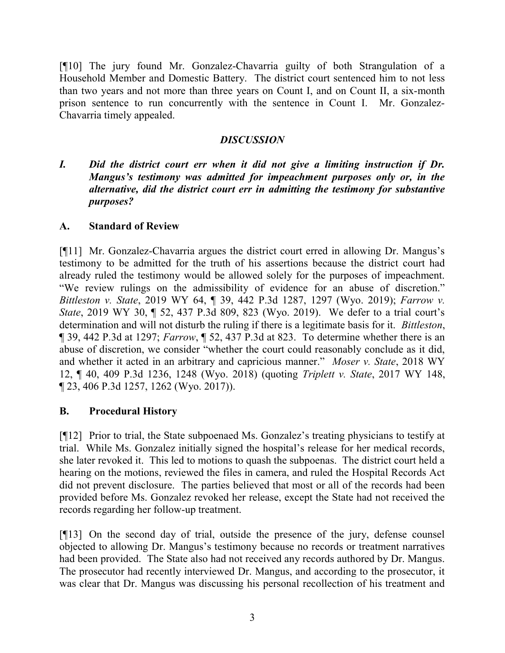[¶10] The jury found Mr. Gonzalez-Chavarria guilty of both Strangulation of a Household Member and Domestic Battery. The district court sentenced him to not less than two years and not more than three years on Count I, and on Count II, a six-month prison sentence to run concurrently with the sentence in Count I. Mr. Gonzalez-Chavarria timely appealed.

## **DISCUSSION**

I. Did the district court err when it did not give a limiting instruction if Dr. Mangus's testimony was admitted for impeachment purposes only or, in the alternative, did the district court err in admitting the testimony for substantive purposes?

## A. Standard of Review

[¶11] Mr. Gonzalez-Chavarria argues the district court erred in allowing Dr. Mangus's testimony to be admitted for the truth of his assertions because the district court had already ruled the testimony would be allowed solely for the purposes of impeachment. "We review rulings on the admissibility of evidence for an abuse of discretion." Bittleston v. State, 2019 WY 64, ¶ 39, 442 P.3d 1287, 1297 (Wyo. 2019); Farrow v. State, 2019 WY 30, ¶ 52, 437 P.3d 809, 823 (Wyo. 2019). We defer to a trial court's determination and will not disturb the ruling if there is a legitimate basis for it. Bittleston, ¶ 39, 442 P.3d at 1297; Farrow, ¶ 52, 437 P.3d at 823. To determine whether there is an abuse of discretion, we consider "whether the court could reasonably conclude as it did, and whether it acted in an arbitrary and capricious manner." Moser v. State, 2018 WY 12, ¶ 40, 409 P.3d 1236, 1248 (Wyo. 2018) (quoting Triplett v. State, 2017 WY 148, ¶ 23, 406 P.3d 1257, 1262 (Wyo. 2017)).

## B. Procedural History

[¶12] Prior to trial, the State subpoenaed Ms. Gonzalez's treating physicians to testify at trial. While Ms. Gonzalez initially signed the hospital's release for her medical records, she later revoked it. This led to motions to quash the subpoenas. The district court held a hearing on the motions, reviewed the files in camera, and ruled the Hospital Records Act did not prevent disclosure. The parties believed that most or all of the records had been provided before Ms. Gonzalez revoked her release, except the State had not received the records regarding her follow-up treatment.

[¶13] On the second day of trial, outside the presence of the jury, defense counsel objected to allowing Dr. Mangus's testimony because no records or treatment narratives had been provided. The State also had not received any records authored by Dr. Mangus. The prosecutor had recently interviewed Dr. Mangus, and according to the prosecutor, it was clear that Dr. Mangus was discussing his personal recollection of his treatment and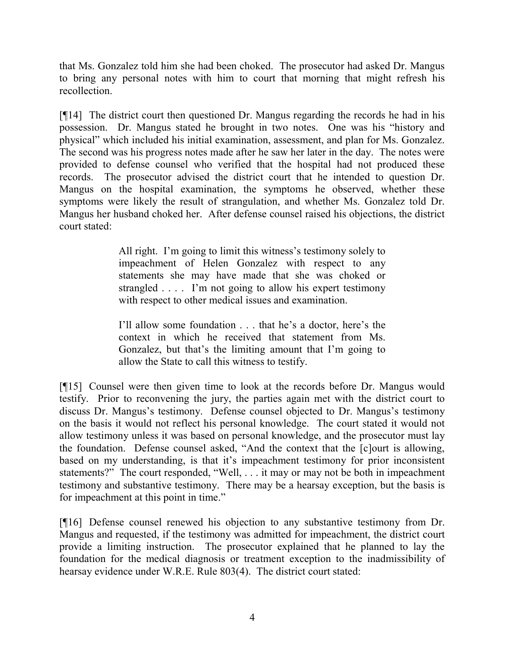that Ms. Gonzalez told him she had been choked. The prosecutor had asked Dr. Mangus to bring any personal notes with him to court that morning that might refresh his recollection.

[¶14] The district court then questioned Dr. Mangus regarding the records he had in his possession. Dr. Mangus stated he brought in two notes. One was his "history and physical" which included his initial examination, assessment, and plan for Ms. Gonzalez. The second was his progress notes made after he saw her later in the day. The notes were provided to defense counsel who verified that the hospital had not produced these records. The prosecutor advised the district court that he intended to question Dr. Mangus on the hospital examination, the symptoms he observed, whether these symptoms were likely the result of strangulation, and whether Ms. Gonzalez told Dr. Mangus her husband choked her. After defense counsel raised his objections, the district court stated:

> All right. I'm going to limit this witness's testimony solely to impeachment of Helen Gonzalez with respect to any statements she may have made that she was choked or strangled . . . . I'm not going to allow his expert testimony with respect to other medical issues and examination.

> I'll allow some foundation . . . that he's a doctor, here's the context in which he received that statement from Ms. Gonzalez, but that's the limiting amount that I'm going to allow the State to call this witness to testify.

[¶15] Counsel were then given time to look at the records before Dr. Mangus would testify. Prior to reconvening the jury, the parties again met with the district court to discuss Dr. Mangus's testimony. Defense counsel objected to Dr. Mangus's testimony on the basis it would not reflect his personal knowledge. The court stated it would not allow testimony unless it was based on personal knowledge, and the prosecutor must lay the foundation. Defense counsel asked, "And the context that the [c]ourt is allowing, based on my understanding, is that it's impeachment testimony for prior inconsistent statements?" The court responded, "Well, . . . it may or may not be both in impeachment testimony and substantive testimony. There may be a hearsay exception, but the basis is for impeachment at this point in time."

[¶16] Defense counsel renewed his objection to any substantive testimony from Dr. Mangus and requested, if the testimony was admitted for impeachment, the district court provide a limiting instruction. The prosecutor explained that he planned to lay the foundation for the medical diagnosis or treatment exception to the inadmissibility of hearsay evidence under W.R.E. Rule 803(4). The district court stated: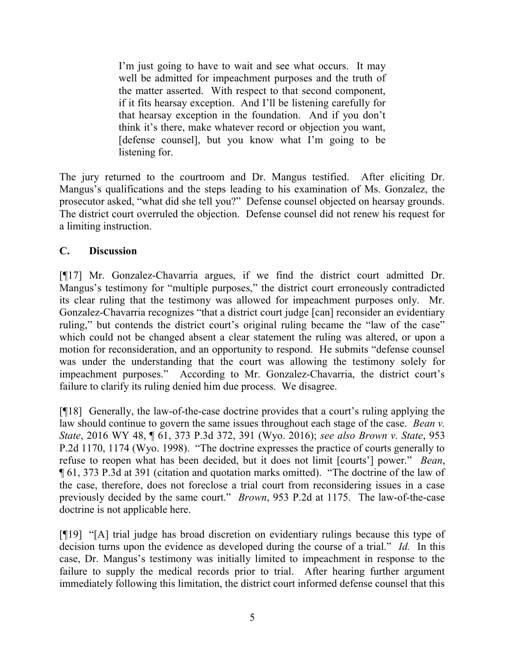I'm just going to have to wait and see what occurs. It may well be admitted for impeachment purposes and the truth of the matter asserted. With respect to that second component, if it fits hearsay exception. And I'll be listening carefully for that hearsay exception in the foundation. And if you don't think it's there, make whatever record or objection you want, [defense counsel], but you know what I'm going to be listening for.

The jury returned to the courtroom and Dr. Mangus testified. After eliciting Dr. Mangus's qualifications and the steps leading to his examination of Ms. Gonzalez, the prosecutor asked, "what did she tell you?" Defense counsel objected on hearsay grounds. The district court overruled the objection. Defense counsel did not renew his request for a limiting instruction.

## C. Discussion

[¶17] Mr. Gonzalez-Chavarria argues, if we find the district court admitted Dr. Mangus's testimony for "multiple purposes," the district court erroneously contradicted its clear ruling that the testimony was allowed for impeachment purposes only. Mr. Gonzalez-Chavarria recognizes "that a district court judge [can] reconsider an evidentiary ruling," but contends the district court's original ruling became the "law of the case" which could not be changed absent a clear statement the ruling was altered, or upon a motion for reconsideration, and an opportunity to respond. He submits "defense counsel was under the understanding that the court was allowing the testimony solely for impeachment purposes." According to Mr. Gonzalez-Chavarria, the district court's failure to clarify its ruling denied him due process. We disagree.

[¶18] Generally, the law-of-the-case doctrine provides that a court's ruling applying the law should continue to govern the same issues throughout each stage of the case. Bean v. State, 2016 WY 48, ¶ 61, 373 P.3d 372, 391 (Wyo. 2016); see also Brown v. State, 953 P.2d 1170, 1174 (Wyo. 1998). "The doctrine expresses the practice of courts generally to refuse to reopen what has been decided, but it does not limit [courts'] power." Bean, ¶ 61, 373 P.3d at 391 (citation and quotation marks omitted). "The doctrine of the law of the case, therefore, does not foreclose a trial court from reconsidering issues in a case previously decided by the same court." Brown, 953 P.2d at 1175. The law-of-the-case doctrine is not applicable here.

[¶19] "[A] trial judge has broad discretion on evidentiary rulings because this type of decision turns upon the evidence as developed during the course of a trial." Id. In this case, Dr. Mangus's testimony was initially limited to impeachment in response to the failure to supply the medical records prior to trial. After hearing further argument immediately following this limitation, the district court informed defense counsel that this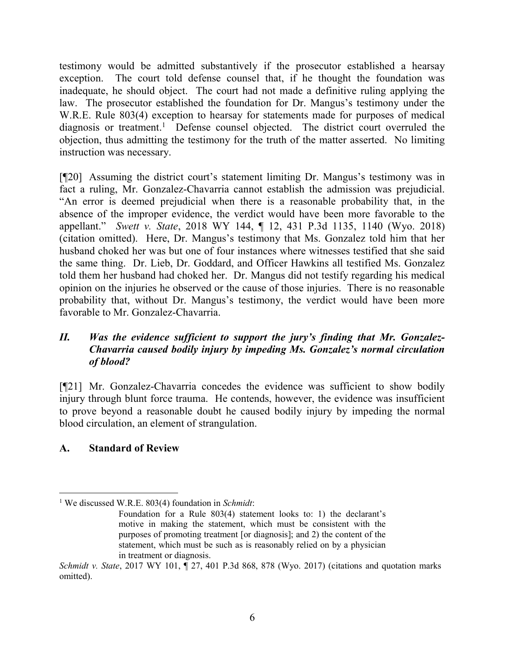testimony would be admitted substantively if the prosecutor established a hearsay exception. The court told defense counsel that, if he thought the foundation was inadequate, he should object. The court had not made a definitive ruling applying the law. The prosecutor established the foundation for Dr. Mangus's testimony under the W.R.E. Rule 803(4) exception to hearsay for statements made for purposes of medical diagnosis or treatment.<sup>1</sup> Defense counsel objected. The district court overruled the objection, thus admitting the testimony for the truth of the matter asserted. No limiting instruction was necessary.

[¶20] Assuming the district court's statement limiting Dr. Mangus's testimony was in fact a ruling, Mr. Gonzalez-Chavarria cannot establish the admission was prejudicial. "An error is deemed prejudicial when there is a reasonable probability that, in the absence of the improper evidence, the verdict would have been more favorable to the appellant." Swett v. State, 2018 WY 144, ¶ 12, 431 P.3d 1135, 1140 (Wyo. 2018) (citation omitted). Here, Dr. Mangus's testimony that Ms. Gonzalez told him that her husband choked her was but one of four instances where witnesses testified that she said the same thing. Dr. Lieb, Dr. Goddard, and Officer Hawkins all testified Ms. Gonzalez told them her husband had choked her. Dr. Mangus did not testify regarding his medical opinion on the injuries he observed or the cause of those injuries. There is no reasonable probability that, without Dr. Mangus's testimony, the verdict would have been more favorable to Mr. Gonzalez-Chavarria.

## II. Was the evidence sufficient to support the jury's finding that Mr. Gonzalez-Chavarria caused bodily injury by impeding Ms. Gonzalez's normal circulation of blood?

[¶21] Mr. Gonzalez-Chavarria concedes the evidence was sufficient to show bodily injury through blunt force trauma. He contends, however, the evidence was insufficient to prove beyond a reasonable doubt he caused bodily injury by impeding the normal blood circulation, an element of strangulation.

# A. Standard of Review

 $\overline{a}$ 

<sup>&</sup>lt;sup>1</sup> We discussed W.R.E. 803(4) foundation in Schmidt:

Foundation for a Rule 803(4) statement looks to: 1) the declarant's motive in making the statement, which must be consistent with the purposes of promoting treatment [or diagnosis]; and 2) the content of the statement, which must be such as is reasonably relied on by a physician in treatment or diagnosis.

Schmidt v. State, 2017 WY 101,  $\parallel$  27, 401 P.3d 868, 878 (Wyo. 2017) (citations and quotation marks omitted).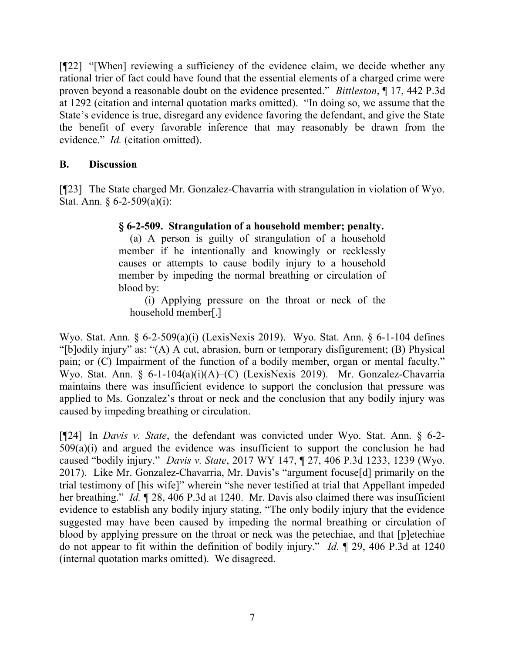[¶22] "[When] reviewing a sufficiency of the evidence claim, we decide whether any rational trier of fact could have found that the essential elements of a charged crime were proven beyond a reasonable doubt on the evidence presented." Bittleston, ¶ 17, 442 P.3d at 1292 (citation and internal quotation marks omitted). "In doing so, we assume that the State's evidence is true, disregard any evidence favoring the defendant, and give the State the benefit of every favorable inference that may reasonably be drawn from the evidence." *Id.* (citation omitted).

## B. Discussion

[¶23] The State charged Mr. Gonzalez-Chavarria with strangulation in violation of Wyo. Stat. Ann. § 6-2-509(a)(i):

## § 6-2-509. Strangulation of a household member; penalty.

(a) A person is guilty of strangulation of a household member if he intentionally and knowingly or recklessly causes or attempts to cause bodily injury to a household member by impeding the normal breathing or circulation of blood by:

(i) Applying pressure on the throat or neck of the household member[.]

Wyo. Stat. Ann. § 6-2-509(a)(i) (LexisNexis 2019). Wyo. Stat. Ann. § 6-1-104 defines "[b]odily injury" as: "(A) A cut, abrasion, burn or temporary disfigurement; (B) Physical pain; or (C) Impairment of the function of a bodily member, organ or mental faculty." Wyo. Stat. Ann. § 6-1-104(a)(i)(A)–(C) (LexisNexis 2019). Mr. Gonzalez-Chavarria maintains there was insufficient evidence to support the conclusion that pressure was applied to Ms. Gonzalez's throat or neck and the conclusion that any bodily injury was caused by impeding breathing or circulation.

[ $[$ 24] In *Davis v. State*, the defendant was convicted under Wyo. Stat. Ann.  $\S$  6-2- $509(a)(i)$  and argued the evidence was insufficient to support the conclusion he had caused "bodily injury." Davis v. State, 2017 WY 147, ¶ 27, 406 P.3d 1233, 1239 (Wyo. 2017). Like Mr. Gonzalez-Chavarria, Mr. Davis's "argument focuse[d] primarily on the trial testimony of [his wife]" wherein "she never testified at trial that Appellant impeded her breathing." Id. ¶ 28, 406 P.3d at 1240. Mr. Davis also claimed there was insufficient evidence to establish any bodily injury stating, "The only bodily injury that the evidence suggested may have been caused by impeding the normal breathing or circulation of blood by applying pressure on the throat or neck was the petechiae, and that [p]etechiae do not appear to fit within the definition of bodily injury." Id. ¶ 29, 406 P.3d at 1240 (internal quotation marks omitted). We disagreed.